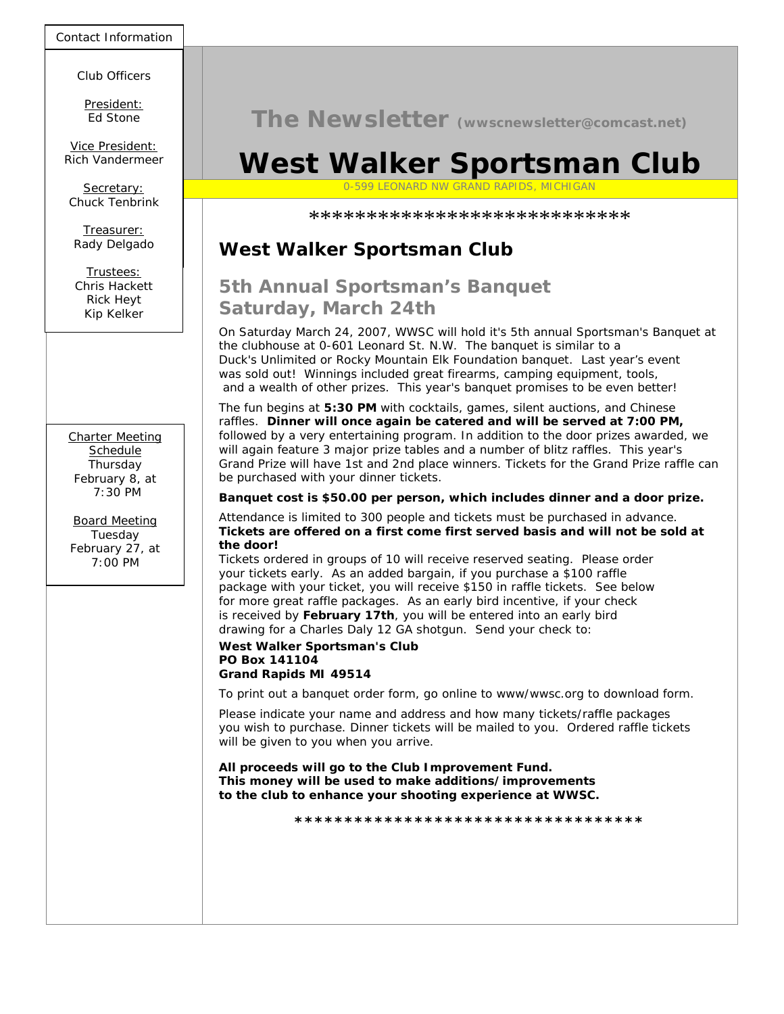Contact Information

Club Officers

*49514* President: Ed Stone

*616-453-5081* Vice President: Rich Vandermeer

Chuck Tenbrink

Pady Dolgado *616-261-8001* Rady Delgado Treasurer:

> Trustees: Chris Hackett Rick Heyt Kip Kelker

Charter Meeting **Schedule** Thursday February 8, at 7:30 PM

Board Meeting Tuesday February 27, at  $7.00 \text{ PM}$ 

**The Newsletter (wwscnewsletter@comcast.net)**

# **West Walker Sportsman Club**

Secretary: The Committee of the Committee of the Committee of the Committee of the Secretary: The Committee of the Committee of the Committee of the Committee of the Committee of the Committee of the Committee of the Commi

\*\*\*\*\*\*\*\*\*\*\*\*\*\*\*\*\*\*\*\*\*\*\*\*\*\*\*\*

## **West Walker Sportsman Club**

# **5th Annual Sportsman's Banquet Saturday, March 24th**

On Saturday March 24, 2007, WWSC will hold it's 5th annual Sportsman's Banquet at the clubhouse at 0-601 Leonard St. N.W. The banquet is similar to a Duck's Unlimited or Rocky Mountain Elk Foundation banquet. Last year's event was sold out! Winnings included great firearms, camping equipment, tools, and a wealth of other prizes. This year's banquet promises to be even better!

The fun begins at **5:30 PM** with cocktails, games, silent auctions, and Chinese raffles. **Dinner will once again be catered and will be served at 7:00 PM,** followed by a very entertaining program. In addition to the door prizes awarded, we will again feature 3 major prize tables and a number of blitz raffles. This year's Grand Prize will have 1st and 2nd place winners. Tickets for the Grand Prize raffle can be purchased with your dinner tickets.

**Banquet cost is \$50.00 per person, which includes dinner and a door prize.**

Attendance is limited to 300 people and tickets must be purchased in advance. **Tickets are offered on a first come first served basis and will not be sold at the door!**

Tickets ordered in groups of 10 will receive reserved seating. Please order your tickets early. As an added bargain, if you purchase a \$100 raffle package with your ticket, you will receive \$150 in raffle tickets. See below for more great raffle packages. As an early bird incentive, if your check is received by **February 17th**, you will be entered into an early bird drawing for a Charles Daly 12 GA shotgun. Send your check to:

#### **West Walker Sportsman's Club PO Box 141104**

### **Grand Rapids MI 49514**

To print out a banquet order form, go online to www/wwsc.org to download form.

Please indicate your name and address and how many tickets/raffle packages you wish to purchase. Dinner tickets will be mailed to you. Ordered raffle tickets will be given to you when you arrive.

**All proceeds will go to the Club Improvement Fund. This money will be used to make additions/improvements to the club to enhance your shooting experience at WWSC.**

**\*\*\*\*\*\*\*\*\*\*\*\*\*\*\*\*\*\*\*\*\*\*\*\*\*\*\*\*\*\*\*\*\*\*\***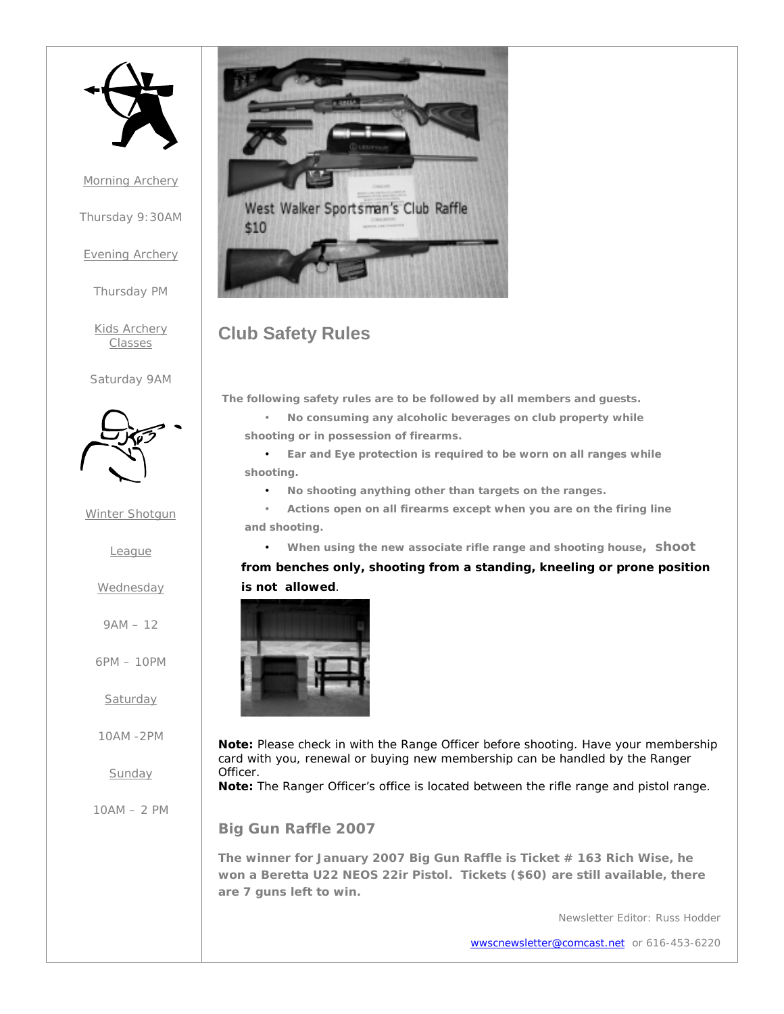

Morning Archery

Thursday 9:30AM

Evening Archery

Thursday PM

Kids Archery **Classes** 

Saturday 9AM



Winter Shotgun

League

### **Wednesday**

9AM – 12

6PM – 10PM

Saturday

10AM -2PM

Sunday

10AM – 2 PM



### **Club Safety Rules**

**The following safety rules are to be followed by all members and guests.**

• **No consuming any alcoholic beverages on club property while shooting or in possession of firearms.**

• **Ear and Eye protection is required to be worn on all ranges while shooting.**

• **No shooting anything other than targets on the ranges.**

• **Actions open on all firearms except when you are on the firing line and shooting.**

• **When using the new associate rifle range and shooting house, shoot**

**from benches only, shooting from a standing, kneeling or prone position is not allowed**.



**Note:** Please check in with the Range Officer before shooting. Have your membership card with you, renewal or buying new membership can be handled by the Ranger Officer.

**Note:** The Ranger Officer's office is located between the rifle range and pistol range.

**Big Gun Raffle 2007**

**The winner for January 2007 Big Gun Raffle is Ticket # 163 Rich Wise, he won a Beretta U22 NEOS 22ir Pistol. Tickets (\$60) are still available, there are 7 guns left to win.**

Newsletter Editor: Russ Hodder

wwscnewsletter@comcast.net or 616-453-6220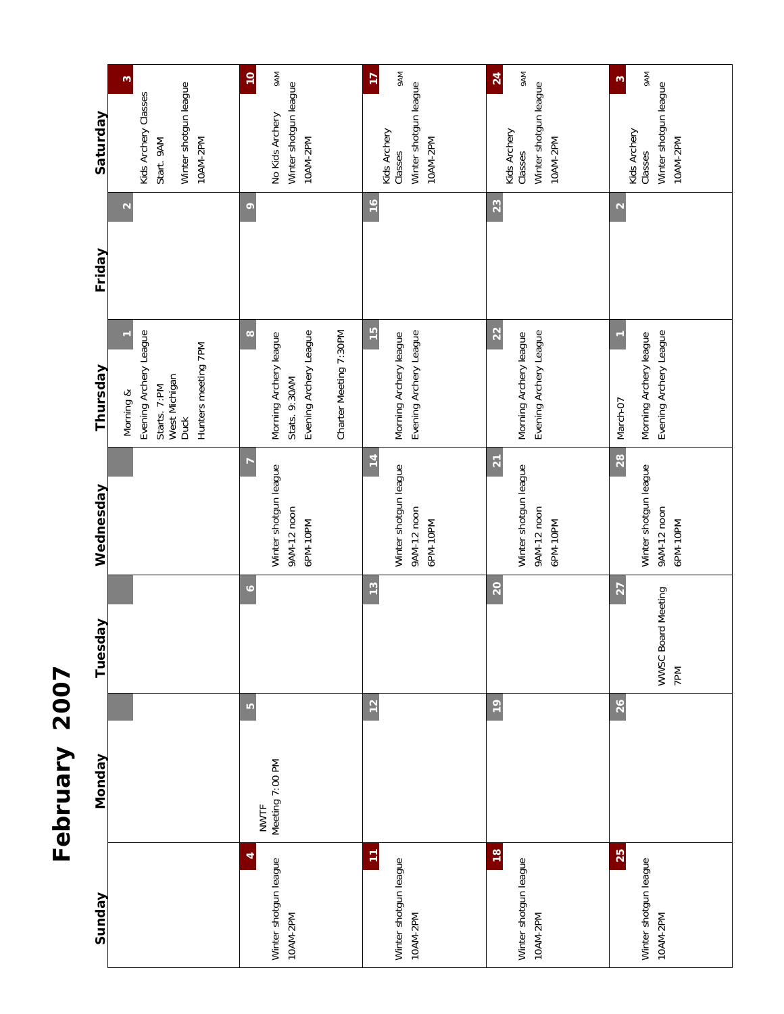

| Sunday                                             | Monday                              | Tuesday                                      | Wednesday                                                           | Thursday                                                                                                | Friday            | Saturday                                                                                      |
|----------------------------------------------------|-------------------------------------|----------------------------------------------|---------------------------------------------------------------------|---------------------------------------------------------------------------------------------------------|-------------------|-----------------------------------------------------------------------------------------------|
|                                                    |                                     |                                              |                                                                     | Evening Archery League<br>Hunters meeting 7PM<br>West Michigan<br>Starts. 7:PM<br>Morning &<br>Duck     | $\mathbf{\Omega}$ | $\mathfrak{g}$<br>Winter shotgun league<br>Kids Archery Classes<br>10AM-2PM<br>Start. 9AM     |
| 4<br>Winter shotgun league<br>10AM-2PM             | S<br>Meeting 7:00 PM<br><b>NWTF</b> | $\bullet$                                    | Winter shotgun league<br>9AM-12 noon<br>6PM-10PM                    | $\infty$<br>Evening Archery League<br>Charter Meeting 7:30PM<br>Morning Archery league<br>Stats. 9:30AM | $\circ$           | <b>MV6</b><br>$\overline{10}$<br>Winter shotgun league<br>No Kids Archery<br>10AM-2PM         |
| Ξ<br>Winter shotgun league<br>10AM-2PM             | 12                                  | $\frac{3}{2}$                                | $\overline{14}$<br>Winter shotgun league<br>9AM-12 noon<br>6PM-10PM | $\frac{15}{2}$<br>Evening Archery League<br>Morning Archery league                                      | $\frac{6}{2}$     | <b>MV6</b><br>$\overline{1}$<br>Winter shotgun league<br>Kids Archery<br>10AM-2PM<br>Classes  |
| $\frac{8}{2}$<br>Winter shotgun league<br>10AM-2PM | $\frac{1}{2}$                       | 20                                           | $\overline{21}$<br>Winter shotgun league<br>9AM-12 noon<br>6PM-10PM | 22<br>Evening Archery League<br>Morning Archery league                                                  | 23                | <b>MV6</b><br>$\overline{24}$<br>Winter shotgun league<br>Kids Archery<br>10AM-2PM<br>Classes |
| 25<br>Winter shotgun league<br>10AM-2PM            | 26                                  | $\overline{27}$<br>WWSC Board Meeting<br>7PM | 28<br>Winter shotgun league<br>9AM-12 noon<br>6PM-10PM              | Evening Archery League<br>Morning Archery league<br>March-07                                            | $\mathbf{\Omega}$ | <b>MA6</b><br>S<br>Winter shotgun league<br>Kids Archery<br>10AM-2PM<br>Classes               |